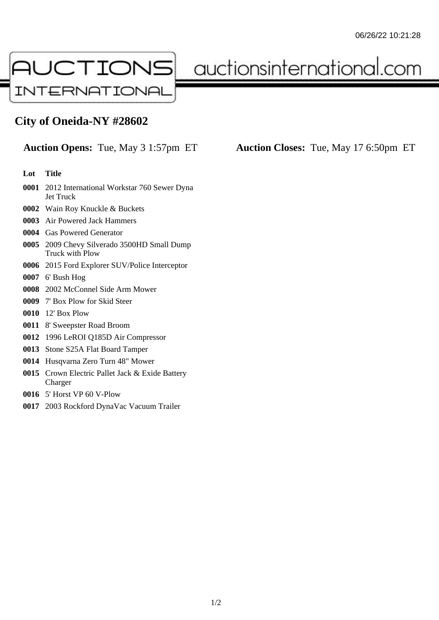

auctionsinternational.com

## **City of Oneida-NY #28602**

## **Lot Title**

- 2012 International Workstar 760 Sewer Dyna Jet Truck
- Wain Roy Knuckle & Buckets
- Air Powered Jack Hammers
- Gas Powered Generator
- 2009 Chevy Silverado 3500HD Small Dump Truck with Plow
- 2015 Ford Explorer SUV/Police Interceptor
- 6' Bush Hog
- 2002 McConnel Side Arm Mower
- 7' Box Plow for Skid Steer
- 12' Box Plow
- 8' Sweepster Road Broom
- 1996 LeROI Q185D Air Compressor
- Stone S25A Flat Board Tamper
- Husqvarna Zero Turn 48" Mower
- Crown Electric Pallet Jack & Exide Battery Charger
- 5' Horst VP 60 V-Plow
- 2003 Rockford DynaVac Vacuum Trailer

**Auction Opens:** Tue, May 3 1:57pm ET **Auction Closes:** Tue, May 17 6:50pm ET